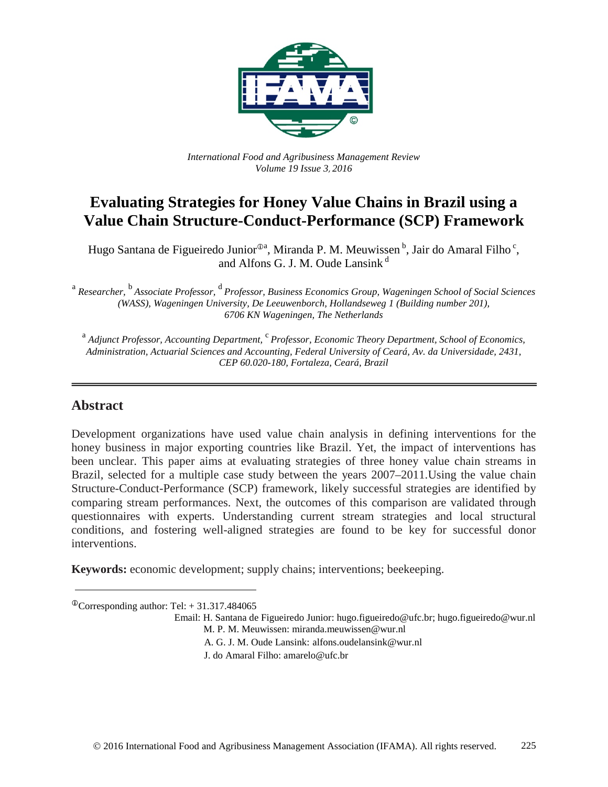

*International Food and Agribusiness Management Review Volume 19 Issue 3*, *2016*

# **Evaluating Strategies for Honey Value Chains in Brazil using a Value Chain Structure-Conduct-Performance (SCP) Framework**

Hugo Santana de Figueiredo Junior<sup>®a</sup>, Miranda P. M. Meuwissen <sup>b</sup>, Jair do Amaral Filho<sup>c</sup>, and Alfons G. J. M. Oude Lansink<sup>d</sup>

<sup>a</sup> Researcher, <sup>b</sup> Associate Professor, <sup>d</sup> Professor, Business Economics Group, Wageningen School of Social Sciences *(WASS), Wageningen University, De Leeuwenborch, Hollandseweg 1 (Building number 201), 6706 KN Wageningen, The Netherlands*

<sup>a</sup> *Adjunct Professor, Accounting Department,* c *Professor, Economic Theory Department, School of Economics, Administration, Actuarial Sciences and Accounting, Federal University of Ceará, Av. da Universidade, 2431, CEP 60.020-180, Fortaleza, Ceará, Brazil*

# **Abstract**

Development organizations have used value chain analysis in defining interventions for the honey business in major exporting countries like Brazil. Yet, the impact of interventions has been unclear. This paper aims at evaluating strategies of three honey value chain streams in Brazil, selected for a multiple case study between the years 2007–2011.Using the value chain Structure-Conduct-Performance (SCP) framework, likely successful strategies are identified by comparing stream performances. Next, the outcomes of this comparison are validated through questionnaires with experts. Understanding current stream strategies and local structural conditions, and fostering well-aligned strategies are found to be key for successful donor interventions.

**Keywords:** economic development; supply chains; interventions; beekeeping.

 $^{\circ}$ Corresponding author: Tel: + 31.317.484065

Email: H. Santana de Figueiredo Junior: hugo.figueiredo@ufc.br; hugo.figueiredo@wur.nl

- M. P. M. Meuwissen: miranda.meuwissen@wur.nl
- A. G. J. M. Oude Lansink: alfons.oudelansink@wur.nl
- J. do Amaral Filho: amarelo@ufc.br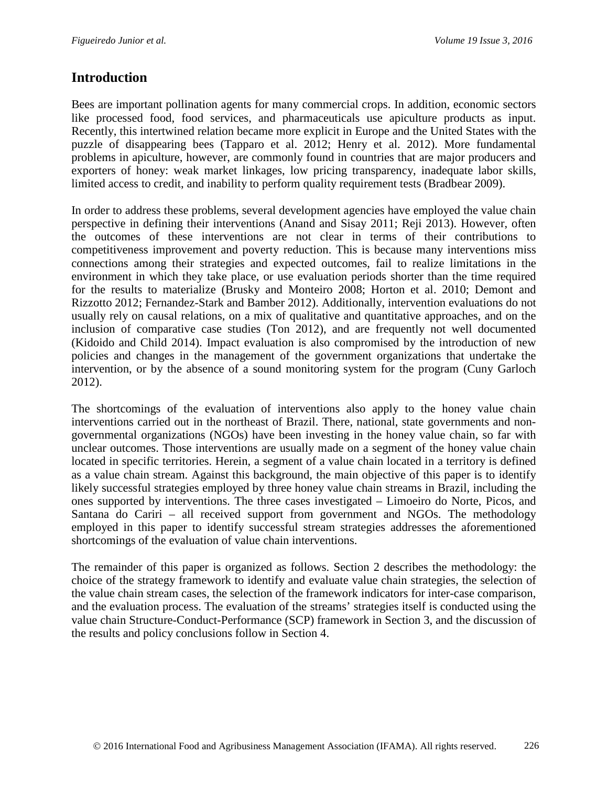# **Introduction**

Bees are important pollination agents for many commercial crops. In addition, economic sectors like processed food, food services, and pharmaceuticals use apiculture products as input. Recently, this intertwined relation became more explicit in Europe and the United States with the puzzle of disappearing bees (Tapparo et al. 2012; Henry et al. 2012). More fundamental problems in apiculture, however, are commonly found in countries that are major producers and exporters of honey: weak market linkages, low pricing transparency, inadequate labor skills, limited access to credit, and inability to perform quality requirement tests (Bradbear 2009).

In order to address these problems, several development agencies have employed the value chain perspective in defining their interventions (Anand and Sisay 2011; Reji 2013). However, often the outcomes of these interventions are not clear in terms of their contributions to competitiveness improvement and poverty reduction. This is because many interventions miss connections among their strategies and expected outcomes, fail to realize limitations in the environment in which they take place, or use evaluation periods shorter than the time required for the results to materialize (Brusky and Monteiro 2008; Horton et al. 2010; Demont and Rizzotto 2012; Fernandez-Stark and Bamber 2012). Additionally, intervention evaluations do not usually rely on causal relations, on a mix of qualitative and quantitative approaches, and on the inclusion of comparative case studies (Ton 2012), and are frequently not well documented (Kidoido and Child 2014). Impact evaluation is also compromised by the introduction of new policies and changes in the management of the government organizations that undertake the intervention, or by the absence of a sound monitoring system for the program (Cuny Garloch 2012).

The shortcomings of the evaluation of interventions also apply to the honey value chain interventions carried out in the northeast of Brazil. There, national, state governments and nongovernmental organizations (NGOs) have been investing in the honey value chain, so far with unclear outcomes. Those interventions are usually made on a segment of the honey value chain located in specific territories. Herein, a segment of a value chain located in a territory is defined as a value chain stream. Against this background, the main objective of this paper is to identify likely successful strategies employed by three honey value chain streams in Brazil, including the ones supported by interventions. The three cases investigated – Limoeiro do Norte, Picos, and Santana do Cariri – all received support from government and NGOs. The methodology employed in this paper to identify successful stream strategies addresses the aforementioned shortcomings of the evaluation of value chain interventions.

The remainder of this paper is organized as follows. Section 2 describes the methodology: the choice of the strategy framework to identify and evaluate value chain strategies, the selection of the value chain stream cases, the selection of the framework indicators for inter-case comparison, and the evaluation process. The evaluation of the streams' strategies itself is conducted using the value chain Structure-Conduct-Performance (SCP) framework in Section 3, and the discussion of the results and policy conclusions follow in Section 4.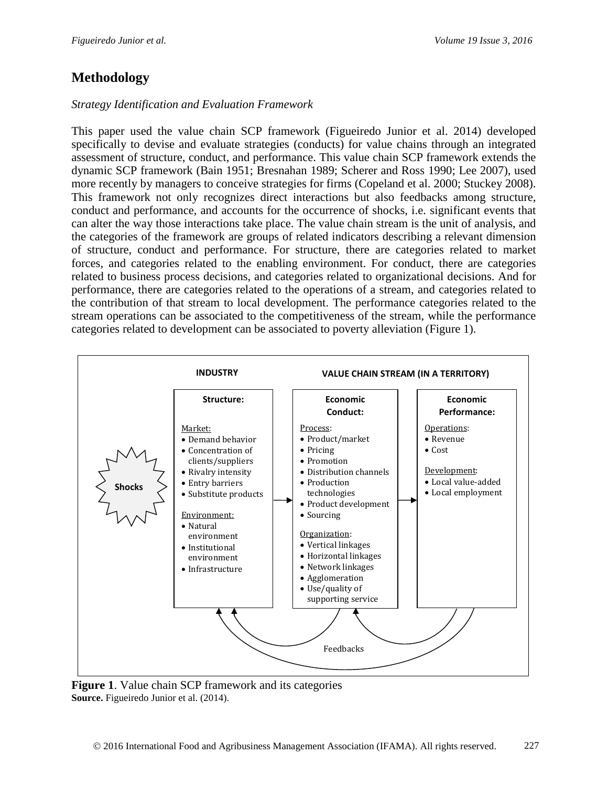# **Methodology**

### *Strategy Identification and Evaluation Framework*

This paper used the value chain SCP framework (Figueiredo Junior et al. 2014) developed specifically to devise and evaluate strategies (conducts) for value chains through an integrated assessment of structure, conduct, and performance. This value chain SCP framework extends the dynamic SCP framework (Bain 1951; Bresnahan 1989; Scherer and Ross 1990; Lee 2007), used more recently by managers to conceive strategies for firms (Copeland et al. 2000; Stuckey 2008). This framework not only recognizes direct interactions but also feedbacks among structure, conduct and performance, and accounts for the occurrence of shocks, i.e. significant events that can alter the way those interactions take place. The value chain stream is the unit of analysis, and the categories of the framework are groups of related indicators describing a relevant dimension of structure, conduct and performance. For structure, there are categories related to market forces, and categories related to the enabling environment. For conduct, there are categories related to business process decisions, and categories related to organizational decisions. And for performance, there are categories related to the operations of a stream, and categories related to the contribution of that stream to local development. The performance categories related to the stream operations can be associated to the competitiveness of the stream, while the performance categories related to development can be associated to poverty alleviation (Figure 1).



**Figure 1**. Value chain SCP framework and its categories **Source.** Figueiredo Junior et al. (2014).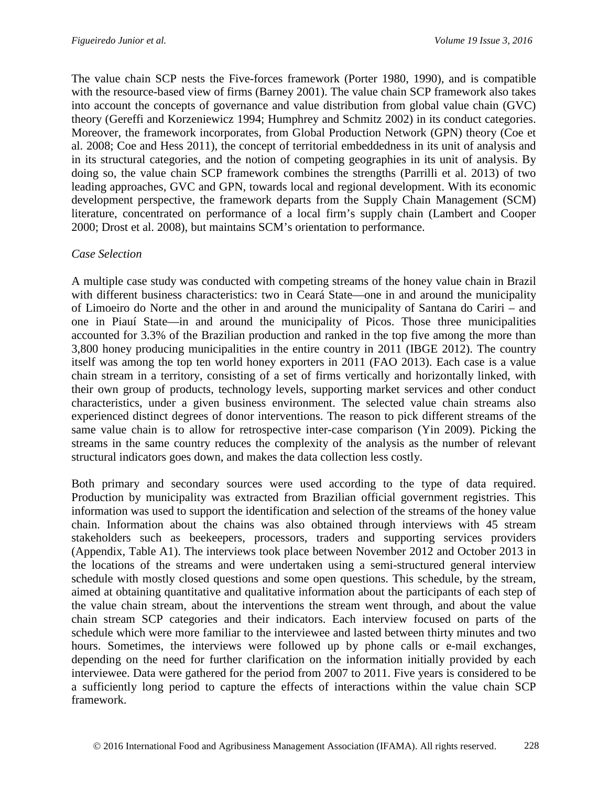The value chain SCP nests the Five-forces framework (Porter 1980, 1990), and is compatible with the resource-based view of firms (Barney 2001). The value chain SCP framework also takes into account the concepts of governance and value distribution from global value chain (GVC) theory (Gereffi and Korzeniewicz 1994; Humphrey and Schmitz 2002) in its conduct categories. Moreover, the framework incorporates, from Global Production Network (GPN) theory (Coe et al. 2008; Coe and Hess 2011), the concept of territorial embeddedness in its unit of analysis and in its structural categories, and the notion of competing geographies in its unit of analysis. By doing so, the value chain SCP framework combines the strengths (Parrilli et al. 2013) of two leading approaches, GVC and GPN, towards local and regional development. With its economic development perspective, the framework departs from the Supply Chain Management (SCM) literature, concentrated on performance of a local firm's supply chain (Lambert and Cooper 2000; Drost et al. 2008), but maintains SCM's orientation to performance.

### *Case Selection*

A multiple case study was conducted with competing streams of the honey value chain in Brazil with different business characteristics: two in Ceará State—one in and around the municipality of Limoeiro do Norte and the other in and around the municipality of Santana do Cariri – and one in Piauí State—in and around the municipality of Picos. Those three municipalities accounted for 3.3% of the Brazilian production and ranked in the top five among the more than 3,800 honey producing municipalities in the entire country in 2011 (IBGE 2012). The country itself was among the top ten world honey exporters in 2011 (FAO 2013). Each case is a value chain stream in a territory, consisting of a set of firms vertically and horizontally linked, with their own group of products, technology levels, supporting market services and other conduct characteristics, under a given business environment. The selected value chain streams also experienced distinct degrees of donor interventions. The reason to pick different streams of the same value chain is to allow for retrospective inter-case comparison (Yin 2009). Picking the streams in the same country reduces the complexity of the analysis as the number of relevant structural indicators goes down, and makes the data collection less costly.

Both primary and secondary sources were used according to the type of data required. Production by municipality was extracted from Brazilian official government registries. This information was used to support the identification and selection of the streams of the honey value chain. Information about the chains was also obtained through interviews with 45 stream stakeholders such as beekeepers, processors, traders and supporting services providers (Appendix, Table A1). The interviews took place between November 2012 and October 2013 in the locations of the streams and were undertaken using a semi-structured general interview schedule with mostly closed questions and some open questions. This schedule, by the stream, aimed at obtaining quantitative and qualitative information about the participants of each step of the value chain stream, about the interventions the stream went through, and about the value chain stream SCP categories and their indicators. Each interview focused on parts of the schedule which were more familiar to the interviewee and lasted between thirty minutes and two hours. Sometimes, the interviews were followed up by phone calls or e-mail exchanges, depending on the need for further clarification on the information initially provided by each interviewee. Data were gathered for the period from 2007 to 2011. Five years is considered to be a sufficiently long period to capture the effects of interactions within the value chain SCP framework.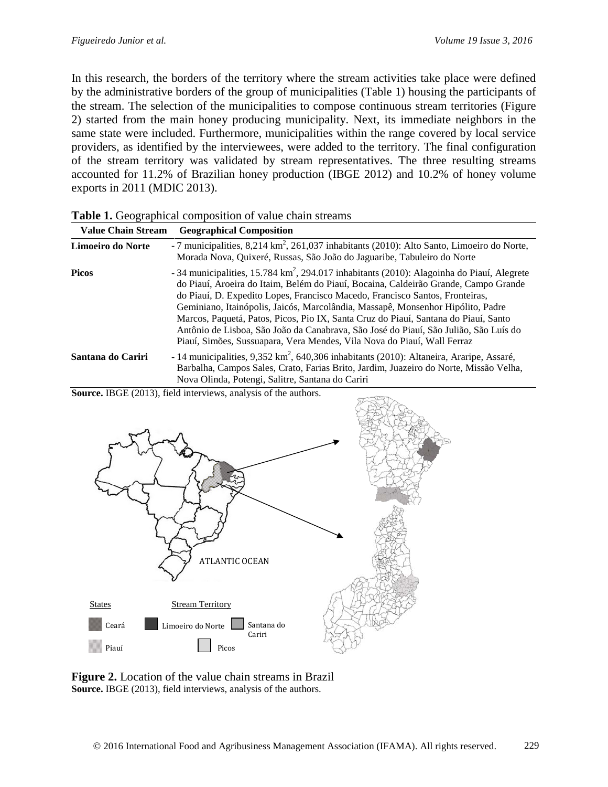In this research, the borders of the territory where the stream activities take place were defined by the administrative borders of the group of municipalities (Table 1) housing the participants of the stream. The selection of the municipalities to compose continuous stream territories (Figure 2) started from the main honey producing municipality. Next, its immediate neighbors in the same state were included. Furthermore, municipalities within the range covered by local service providers, as identified by the interviewees, were added to the territory. The final configuration of the stream territory was validated by stream representatives. The three resulting streams accounted for 11.2% of Brazilian honey production (IBGE 2012) and 10.2% of honey volume exports in 2011 (MDIC 2013).

|  |  | Table 1. Geographical composition of value chain streams |  |  |  |  |
|--|--|----------------------------------------------------------|--|--|--|--|
|--|--|----------------------------------------------------------|--|--|--|--|

| <b>Value Chain Stream</b> | <b>Geographical Composition</b>                                                                                                                                                                                                                                                                                                                                                                                                                                                                                                                                                                                           |
|---------------------------|---------------------------------------------------------------------------------------------------------------------------------------------------------------------------------------------------------------------------------------------------------------------------------------------------------------------------------------------------------------------------------------------------------------------------------------------------------------------------------------------------------------------------------------------------------------------------------------------------------------------------|
| Limoeiro do Norte         | - 7 municipalities, 8,214 km <sup>2</sup> , 261,037 inhabitants (2010): Alto Santo, Limoeiro do Norte,<br>Morada Nova, Quixeré, Russas, São João do Jaguaribe, Tabuleiro do Norte                                                                                                                                                                                                                                                                                                                                                                                                                                         |
| <b>Picos</b>              | - 34 municipalities, $15.784 \text{ km}^2$ , 294.017 inhabitants (2010): Alagoinha do Piauí, Alegrete<br>do Piauí, Aroeira do Itaim, Belém do Piauí, Bocaina, Caldeirão Grande, Campo Grande<br>do Piauí, D. Expedito Lopes, Francisco Macedo, Francisco Santos, Fronteiras,<br>Geminiano, Itainópolis, Jaicós, Marcolândia, Massapê, Monsenhor Hipólito, Padre<br>Marcos, Paquetá, Patos, Picos, Pio IX, Santa Cruz do Piauí, Santana do Piauí, Santo<br>Antônio de Lisboa, São João da Canabrava, São José do Piauí, São Julião, São Luís do<br>Piauí, Simões, Sussuapara, Vera Mendes, Vila Nova do Piauí, Wall Ferraz |
| Santana do Cariri         | - 14 municipalities, 9,352 km <sup>2</sup> , 640,306 inhabitants (2010): Altaneira, Araripe, Assaré,<br>Barbalha, Campos Sales, Crato, Farias Brito, Jardim, Juazeiro do Norte, Missão Velha,<br>Nova Olinda, Potengi, Salitre, Santana do Cariri                                                                                                                                                                                                                                                                                                                                                                         |

**Source.** IBGE (2013), field interviews, analysis of the authors.



**Figure 2.** Location of the value chain streams in Brazil **Source.** IBGE (2013), field interviews, analysis of the authors.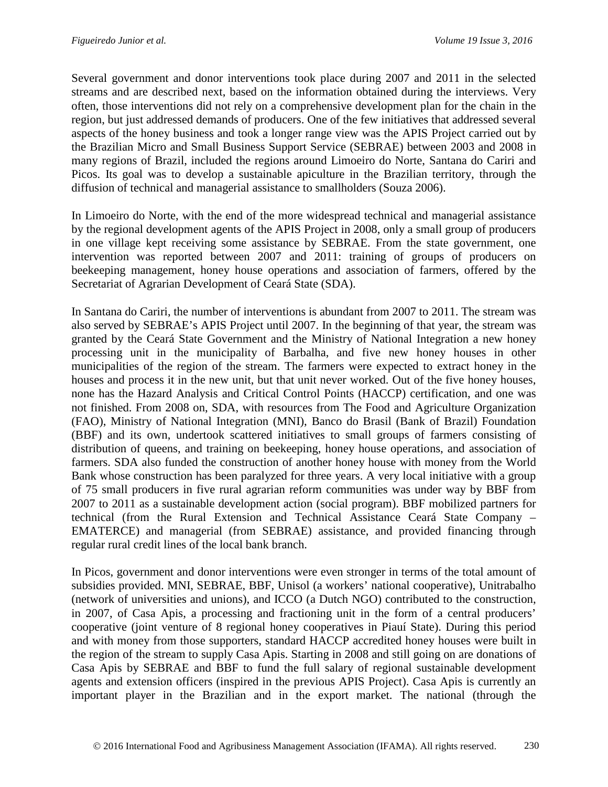Several government and donor interventions took place during 2007 and 2011 in the selected streams and are described next, based on the information obtained during the interviews. Very often, those interventions did not rely on a comprehensive development plan for the chain in the region, but just addressed demands of producers. One of the few initiatives that addressed several aspects of the honey business and took a longer range view was the APIS Project carried out by the Brazilian Micro and Small Business Support Service (SEBRAE) between 2003 and 2008 in many regions of Brazil, included the regions around Limoeiro do Norte, Santana do Cariri and Picos. Its goal was to develop a sustainable apiculture in the Brazilian territory, through the diffusion of technical and managerial assistance to smallholders (Souza 2006).

In Limoeiro do Norte, with the end of the more widespread technical and managerial assistance by the regional development agents of the APIS Project in 2008, only a small group of producers in one village kept receiving some assistance by SEBRAE. From the state government, one intervention was reported between 2007 and 2011: training of groups of producers on beekeeping management, honey house operations and association of farmers, offered by the Secretariat of Agrarian Development of Ceará State (SDA).

In Santana do Cariri, the number of interventions is abundant from 2007 to 2011. The stream was also served by SEBRAE's APIS Project until 2007. In the beginning of that year, the stream was granted by the Ceará State Government and the Ministry of National Integration a new honey processing unit in the municipality of Barbalha, and five new honey houses in other municipalities of the region of the stream. The farmers were expected to extract honey in the houses and process it in the new unit, but that unit never worked. Out of the five honey houses, none has the Hazard Analysis and Critical Control Points (HACCP) certification, and one was not finished. From 2008 on, SDA, with resources from The Food and Agriculture Organization (FAO), Ministry of National Integration (MNI), Banco do Brasil (Bank of Brazil) Foundation (BBF) and its own, undertook scattered initiatives to small groups of farmers consisting of distribution of queens, and training on beekeeping, honey house operations, and association of farmers. SDA also funded the construction of another honey house with money from the World Bank whose construction has been paralyzed for three years. A very local initiative with a group of 75 small producers in five rural agrarian reform communities was under way by BBF from 2007 to 2011 as a sustainable development action (social program). BBF mobilized partners for technical (from the Rural Extension and Technical Assistance Ceará State Company – EMATERCE) and managerial (from SEBRAE) assistance, and provided financing through regular rural credit lines of the local bank branch.

In Picos, government and donor interventions were even stronger in terms of the total amount of subsidies provided. MNI, SEBRAE, BBF, Unisol (a workers' national cooperative), Unitrabalho (network of universities and unions), and ICCO (a Dutch NGO) contributed to the construction, in 2007, of Casa Apis, a processing and fractioning unit in the form of a central producers' cooperative (joint venture of 8 regional honey cooperatives in Piauí State). During this period and with money from those supporters, standard HACCP accredited honey houses were built in the region of the stream to supply Casa Apis. Starting in 2008 and still going on are donations of Casa Apis by SEBRAE and BBF to fund the full salary of regional sustainable development agents and extension officers (inspired in the previous APIS Project). Casa Apis is currently an important player in the Brazilian and in the export market. The national (through the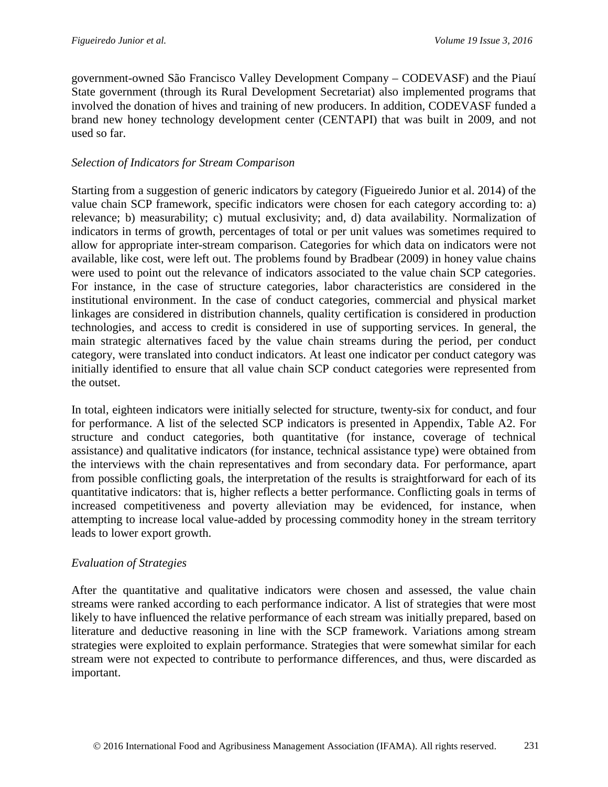government-owned São Francisco Valley Development Company – CODEVASF) and the Piauí State government (through its Rural Development Secretariat) also implemented programs that involved the donation of hives and training of new producers. In addition, CODEVASF funded a brand new honey technology development center (CENTAPI) that was built in 2009, and not used so far.

# *Selection of Indicators for Stream Comparison*

Starting from a suggestion of generic indicators by category (Figueiredo Junior et al. 2014) of the value chain SCP framework, specific indicators were chosen for each category according to: a) relevance; b) measurability; c) mutual exclusivity; and, d) data availability. Normalization of indicators in terms of growth, percentages of total or per unit values was sometimes required to allow for appropriate inter-stream comparison. Categories for which data on indicators were not available, like cost, were left out. The problems found by Bradbear (2009) in honey value chains were used to point out the relevance of indicators associated to the value chain SCP categories. For instance, in the case of structure categories, labor characteristics are considered in the institutional environment. In the case of conduct categories, commercial and physical market linkages are considered in distribution channels, quality certification is considered in production technologies, and access to credit is considered in use of supporting services. In general, the main strategic alternatives faced by the value chain streams during the period, per conduct category, were translated into conduct indicators. At least one indicator per conduct category was initially identified to ensure that all value chain SCP conduct categories were represented from the outset.

In total, eighteen indicators were initially selected for structure, twenty-six for conduct, and four for performance. A list of the selected SCP indicators is presented in Appendix, Table A2. For structure and conduct categories, both quantitative (for instance, coverage of technical assistance) and qualitative indicators (for instance, technical assistance type) were obtained from the interviews with the chain representatives and from secondary data. For performance, apart from possible conflicting goals, the interpretation of the results is straightforward for each of its quantitative indicators: that is, higher reflects a better performance. Conflicting goals in terms of increased competitiveness and poverty alleviation may be evidenced, for instance, when attempting to increase local value-added by processing commodity honey in the stream territory leads to lower export growth.

## *Evaluation of Strategies*

After the quantitative and qualitative indicators were chosen and assessed, the value chain streams were ranked according to each performance indicator. A list of strategies that were most likely to have influenced the relative performance of each stream was initially prepared, based on literature and deductive reasoning in line with the SCP framework. Variations among stream strategies were exploited to explain performance. Strategies that were somewhat similar for each stream were not expected to contribute to performance differences, and thus, were discarded as important.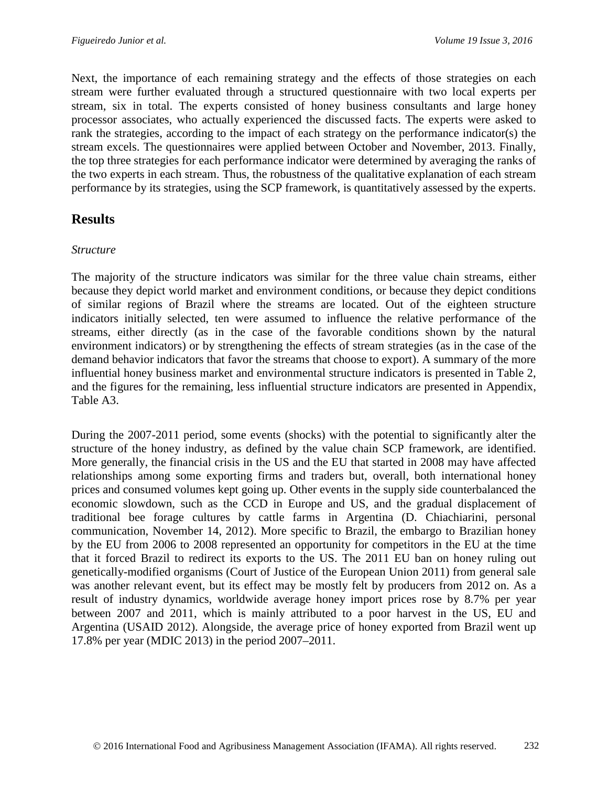Next, the importance of each remaining strategy and the effects of those strategies on each stream were further evaluated through a structured questionnaire with two local experts per stream, six in total. The experts consisted of honey business consultants and large honey processor associates, who actually experienced the discussed facts. The experts were asked to rank the strategies, according to the impact of each strategy on the performance indicator(s) the stream excels. The questionnaires were applied between October and November, 2013. Finally, the top three strategies for each performance indicator were determined by averaging the ranks of the two experts in each stream. Thus, the robustness of the qualitative explanation of each stream performance by its strategies, using the SCP framework, is quantitatively assessed by the experts.

# **Results**

### *Structure*

The majority of the structure indicators was similar for the three value chain streams, either because they depict world market and environment conditions, or because they depict conditions of similar regions of Brazil where the streams are located. Out of the eighteen structure indicators initially selected, ten were assumed to influence the relative performance of the streams, either directly (as in the case of the favorable conditions shown by the natural environment indicators) or by strengthening the effects of stream strategies (as in the case of the demand behavior indicators that favor the streams that choose to export). A summary of the more influential honey business market and environmental structure indicators is presented in Table 2, and the figures for the remaining, less influential structure indicators are presented in Appendix, Table A3.

During the 2007-2011 period, some events (shocks) with the potential to significantly alter the structure of the honey industry, as defined by the value chain SCP framework, are identified. More generally, the financial crisis in the US and the EU that started in 2008 may have affected relationships among some exporting firms and traders but, overall, both international honey prices and consumed volumes kept going up. Other events in the supply side counterbalanced the economic slowdown, such as the CCD in Europe and US, and the gradual displacement of traditional bee forage cultures by cattle farms in Argentina (D. Chiachiarini, personal communication, November 14, 2012). More specific to Brazil, the embargo to Brazilian honey by the EU from 2006 to 2008 represented an opportunity for competitors in the EU at the time that it forced Brazil to redirect its exports to the US. The 2011 EU ban on honey ruling out genetically-modified organisms (Court of Justice of the European Union 2011) from general sale was another relevant event, but its effect may be mostly felt by producers from 2012 on. As a result of industry dynamics, worldwide average honey import prices rose by 8.7% per year between 2007 and 2011, which is mainly attributed to a poor harvest in the US, EU and Argentina (USAID 2012). Alongside, the average price of honey exported from Brazil went up 17.8% per year (MDIC 2013) in the period 2007–2011.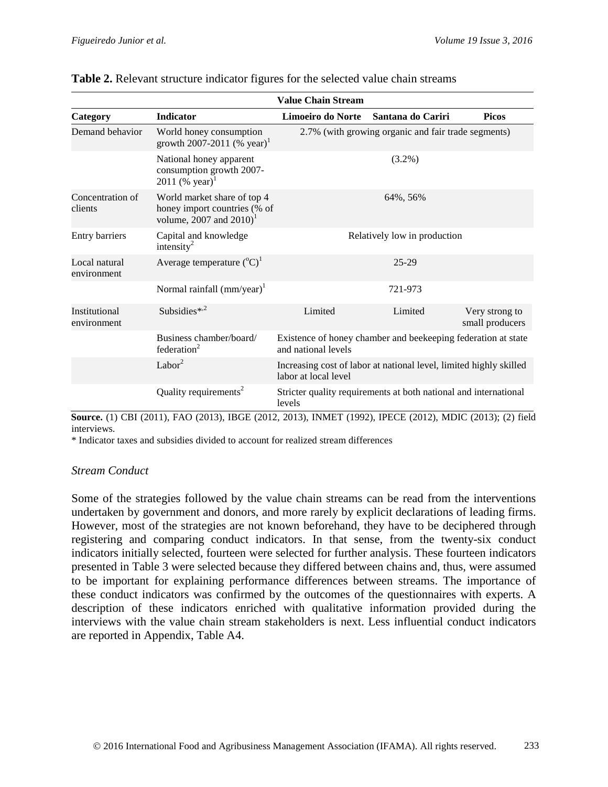|                              |                                                                                                     | <b>Value Chain Stream</b>                                                                  |                                                                  |                                   |  |  |
|------------------------------|-----------------------------------------------------------------------------------------------------|--------------------------------------------------------------------------------------------|------------------------------------------------------------------|-----------------------------------|--|--|
| Category                     | <b>Indicator</b>                                                                                    | Limoeiro do Norte                                                                          | Santana do Cariri                                                | <b>Picos</b>                      |  |  |
| Demand behavior              | World honey consumption<br>growth 2007-2011 (% year) <sup>1</sup>                                   | 2.7% (with growing organic and fair trade segments)                                        |                                                                  |                                   |  |  |
|                              | National honey apparent<br>consumption growth 2007-<br>2011 (% year) <sup>1</sup>                   |                                                                                            | $(3.2\%)$                                                        |                                   |  |  |
| Concentration of<br>clients  | World market share of top 4<br>honey import countries (% of<br>volume, 2007 and $2010$ <sup>1</sup> |                                                                                            | 64%, 56%                                                         |                                   |  |  |
| Entry barriers               | Capital and knowledge<br>intensity <sup>2</sup>                                                     | Relatively low in production                                                               |                                                                  |                                   |  |  |
| Local natural<br>environment | Average temperature $({}^{\circ}C)^{1}$                                                             | 25-29                                                                                      |                                                                  |                                   |  |  |
|                              | Normal rainfall $(mm/year)^{1}$                                                                     |                                                                                            | 721-973                                                          |                                   |  |  |
| Institutional<br>environment | Subsidies* <sup>2</sup>                                                                             | Limited                                                                                    | Limited                                                          | Very strong to<br>small producers |  |  |
|                              | Business chamber/board/<br>federation <sup>2</sup>                                                  | Existence of honey chamber and beekeeping federation at state<br>and national levels       |                                                                  |                                   |  |  |
|                              | Labor $2$                                                                                           | Increasing cost of labor at national level, limited highly skilled<br>labor at local level |                                                                  |                                   |  |  |
|                              | Quality requirements <sup>2</sup>                                                                   | levels                                                                                     | Stricter quality requirements at both national and international |                                   |  |  |

#### **Table 2.** Relevant structure indicator figures for the selected value chain streams

**Source.** (1) CBI (2011), FAO (2013), IBGE (2012, 2013), INMET (1992), IPECE (2012), MDIC (2013); (2) field interviews.

\* Indicator taxes and subsidies divided to account for realized stream differences

#### *Stream Conduct*

Some of the strategies followed by the value chain streams can be read from the interventions undertaken by government and donors, and more rarely by explicit declarations of leading firms. However, most of the strategies are not known beforehand, they have to be deciphered through registering and comparing conduct indicators. In that sense, from the twenty-six conduct indicators initially selected, fourteen were selected for further analysis. These fourteen indicators presented in Table 3 were selected because they differed between chains and, thus, were assumed to be important for explaining performance differences between streams. The importance of these conduct indicators was confirmed by the outcomes of the questionnaires with experts. A description of these indicators enriched with qualitative information provided during the interviews with the value chain stream stakeholders is next. Less influential conduct indicators are reported in Appendix, Table A4.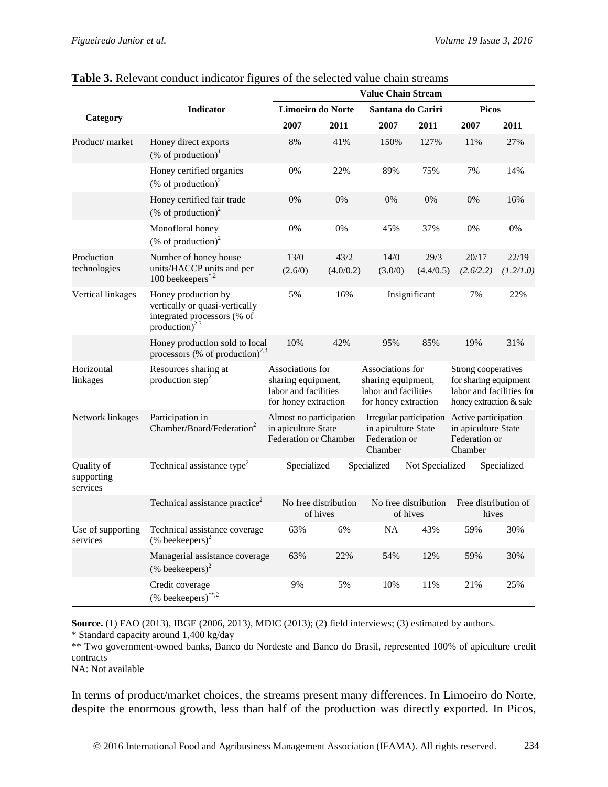|                                      |                                                                                                                    |                                                                                        |           | <b>Value Chain Stream</b>                                                              |                 |                                                                                                     |             |
|--------------------------------------|--------------------------------------------------------------------------------------------------------------------|----------------------------------------------------------------------------------------|-----------|----------------------------------------------------------------------------------------|-----------------|-----------------------------------------------------------------------------------------------------|-------------|
|                                      | <b>Indicator</b>                                                                                                   | Limoeiro do Norte                                                                      |           | Santana do Cariri                                                                      |                 | <b>Picos</b>                                                                                        |             |
| Category                             |                                                                                                                    | 2007                                                                                   | 2011      | 2007                                                                                   | 2011            | 2007                                                                                                | 2011        |
| Product/ market                      | Honey direct exports<br>(% of production) $1$                                                                      | 8%                                                                                     | 41%       | 150%                                                                                   | 127%            | 11%                                                                                                 | 27%         |
|                                      | Honey certified organics<br>(% of production) $^{2}$                                                               | 0%                                                                                     | 22%       | 89%                                                                                    | 75%             | 7%                                                                                                  | 14%         |
|                                      | Honey certified fair trade<br>(% of production) $2$                                                                | 0%                                                                                     | 0%        | 0%                                                                                     | 0%              | 0%                                                                                                  | 16%         |
|                                      | Monofloral honey<br>(% of production) <sup>2</sup>                                                                 | 0%                                                                                     | 0%        | 45%                                                                                    | 37%             | 0%                                                                                                  | 0%          |
| Production                           | Number of honey house                                                                                              | 13/0                                                                                   | 43/2      | 14/0                                                                                   | 29/3            | 20/17                                                                                               | 22/19       |
| technologies                         | units/HACCP units and per<br>100 beekeepers $^{*,2}$                                                               | (2.6/0)                                                                                | (4.0/0.2) | (3.0/0)                                                                                | (4.4/0.5)       | (2.6/2.2)                                                                                           | (1.2/1.0)   |
| Vertical linkages                    | Honey production by<br>vertically or quasi-vertically<br>integrated processors (% of<br>production) <sup>2,3</sup> | 5%                                                                                     | 16%       |                                                                                        | Insignificant   | 7%                                                                                                  | 22%         |
|                                      | Honey production sold to local<br>processors (% of production) <sup>2,3</sup>                                      | 10%                                                                                    | 42%       | 95%                                                                                    | 85%             | 19%                                                                                                 | 31%         |
| Horizontal<br>linkages               | Resources sharing at<br>production step <sup>2</sup>                                                               | Associations for<br>sharing equipment,<br>labor and facilities<br>for honey extraction |           | Associations for<br>sharing equipment,<br>labor and facilities<br>for honey extraction |                 | Strong cooperatives<br>for sharing equipment<br>labor and facilities for<br>honey extraction & sale |             |
| Network linkages                     | Participation in<br>Chamber/Board/Federation <sup>2</sup>                                                          | Almost no participation<br>in apiculture State<br>Federation or Chamber                |           | Irregular participation<br>in apiculture State<br>Federation or<br>Chamber             |                 | Active participation<br>in apiculture State<br>Federation or<br>Chamber                             |             |
| Quality of<br>supporting<br>services | Technical assistance type <sup>2</sup>                                                                             | Specialized                                                                            |           | Specialized                                                                            | Not Specialized |                                                                                                     | Specialized |
|                                      | Technical assistance practice <sup>2</sup>                                                                         | No free distribution<br>of hives                                                       |           | No free distribution<br>of hives                                                       |                 | Free distribution of<br>hives                                                                       |             |
| Use of supporting<br>services        | Technical assistance coverage<br>$(\%$ beekeepers) <sup>2</sup>                                                    | 63%                                                                                    | 6%        | NA                                                                                     | 43%             | 59%                                                                                                 | 30%         |
|                                      | Managerial assistance coverage<br>$(\%$ beekeepers) <sup>2</sup>                                                   | 63%                                                                                    | 22%       | 54%                                                                                    | 12%             | 59%                                                                                                 | 30%         |
|                                      | Credit coverage<br>(% beekeepers)**,2                                                                              | 9%                                                                                     | 5%        | 10%                                                                                    | 11%             | 21%                                                                                                 | 25%         |

### **Table 3.** Relevant conduct indicator figures of the selected value chain streams

**Source.** (1) FAO (2013), IBGE (2006, 2013), MDIC (2013); (2) field interviews; (3) estimated by authors. \* Standard capacity around 1,400 kg/day

\*\* Two government-owned banks, Banco do Nordeste and Banco do Brasil, represented 100% of apiculture credit contracts

NA: Not available

In terms of product/market choices, the streams present many differences. In Limoeiro do Norte, despite the enormous growth, less than half of the production was directly exported. In Picos,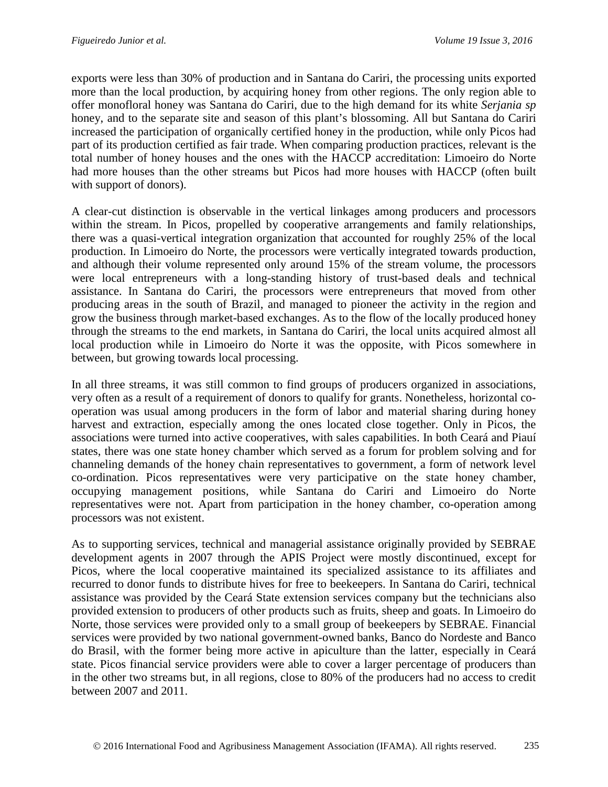exports were less than 30% of production and in Santana do Cariri, the processing units exported more than the local production, by acquiring honey from other regions. The only region able to offer monofloral honey was Santana do Cariri, due to the high demand for its white *Serjania sp* honey, and to the separate site and season of this plant's blossoming. All but Santana do Cariri increased the participation of organically certified honey in the production, while only Picos had part of its production certified as fair trade. When comparing production practices, relevant is the total number of honey houses and the ones with the HACCP accreditation: Limoeiro do Norte had more houses than the other streams but Picos had more houses with HACCP (often built with support of donors).

A clear-cut distinction is observable in the vertical linkages among producers and processors within the stream. In Picos, propelled by cooperative arrangements and family relationships, there was a quasi-vertical integration organization that accounted for roughly 25% of the local production. In Limoeiro do Norte, the processors were vertically integrated towards production, and although their volume represented only around 15% of the stream volume, the processors were local entrepreneurs with a long-standing history of trust-based deals and technical assistance. In Santana do Cariri, the processors were entrepreneurs that moved from other producing areas in the south of Brazil, and managed to pioneer the activity in the region and grow the business through market-based exchanges. As to the flow of the locally produced honey through the streams to the end markets, in Santana do Cariri, the local units acquired almost all local production while in Limoeiro do Norte it was the opposite, with Picos somewhere in between, but growing towards local processing.

In all three streams, it was still common to find groups of producers organized in associations, very often as a result of a requirement of donors to qualify for grants. Nonetheless, horizontal cooperation was usual among producers in the form of labor and material sharing during honey harvest and extraction, especially among the ones located close together. Only in Picos, the associations were turned into active cooperatives, with sales capabilities. In both Ceará and Piauí states, there was one state honey chamber which served as a forum for problem solving and for channeling demands of the honey chain representatives to government, a form of network level co-ordination. Picos representatives were very participative on the state honey chamber, occupying management positions, while Santana do Cariri and Limoeiro do Norte representatives were not. Apart from participation in the honey chamber, co-operation among processors was not existent.

As to supporting services, technical and managerial assistance originally provided by SEBRAE development agents in 2007 through the APIS Project were mostly discontinued, except for Picos, where the local cooperative maintained its specialized assistance to its affiliates and recurred to donor funds to distribute hives for free to beekeepers. In Santana do Cariri, technical assistance was provided by the Ceará State extension services company but the technicians also provided extension to producers of other products such as fruits, sheep and goats. In Limoeiro do Norte, those services were provided only to a small group of beekeepers by SEBRAE. Financial services were provided by two national government-owned banks, Banco do Nordeste and Banco do Brasil, with the former being more active in apiculture than the latter, especially in Ceará state. Picos financial service providers were able to cover a larger percentage of producers than in the other two streams but, in all regions, close to 80% of the producers had no access to credit between 2007 and 2011.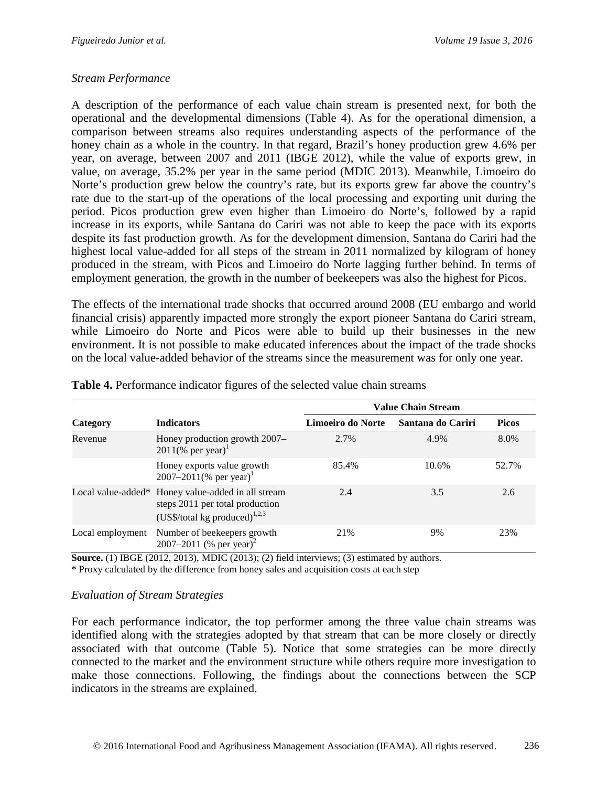## *Stream Performance*

A description of the performance of each value chain stream is presented next, for both the operational and the developmental dimensions (Table 4). As for the operational dimension, a comparison between streams also requires understanding aspects of the performance of the honey chain as a whole in the country. In that regard, Brazil's honey production grew 4.6% per year, on average, between 2007 and 2011 (IBGE 2012), while the value of exports grew, in value, on average, 35.2% per year in the same period (MDIC 2013). Meanwhile, Limoeiro do Norte's production grew below the country's rate, but its exports grew far above the country's rate due to the start-up of the operations of the local processing and exporting unit during the period. Picos production grew even higher than Limoeiro do Norte's, followed by a rapid increase in its exports, while Santana do Cariri was not able to keep the pace with its exports despite its fast production growth. As for the development dimension, Santana do Cariri had the highest local value-added for all steps of the stream in 2011 normalized by kilogram of honey produced in the stream, with Picos and Limoeiro do Norte lagging further behind. In terms of employment generation, the growth in the number of beekeepers was also the highest for Picos.

The effects of the international trade shocks that occurred around 2008 (EU embargo and world financial crisis) apparently impacted more strongly the export pioneer Santana do Cariri stream, while Limoeiro do Norte and Picos were able to build up their businesses in the new environment. It is not possible to make educated inferences about the impact of the trade shocks on the local value-added behavior of the streams since the measurement was for only one year.

|                  |                                                                                                                              |                   | <b>Value Chain Stream</b> |              |
|------------------|------------------------------------------------------------------------------------------------------------------------------|-------------------|---------------------------|--------------|
| Category         | <b>Indicators</b>                                                                                                            | Limoeiro do Norte | Santana do Cariri         | <b>Picos</b> |
| Revenue          | Honey production growth 2007-<br>$2011$ (% per year) <sup>1</sup>                                                            | 2.7%              | 4.9%                      | 8.0%         |
|                  | Honey exports value growth<br>2007–2011(% per year) <sup>1</sup>                                                             | 85.4%             | 10.6%                     | 52.7%        |
|                  | Local value-added* Honey value-added in all stream<br>steps 2011 per total production<br>(US\$/total kg produced) $^{1,2,3}$ | 2.4               | 3.5                       | 2.6          |
| Local employment | Number of beekeepers growth<br>2007–2011 (% per year) <sup>2</sup>                                                           | 21%               | 9%                        | 23%          |

**Table 4.** Performance indicator figures of the selected value chain streams

**Source.** (1) IBGE (2012, 2013), MDIC (2013); (2) field interviews; (3) estimated by authors. \* Proxy calculated by the difference from honey sales and acquisition costs at each step

#### *Evaluation of Stream Strategies*

For each performance indicator, the top performer among the three value chain streams was identified along with the strategies adopted by that stream that can be more closely or directly associated with that outcome (Table 5). Notice that some strategies can be more directly connected to the market and the environment structure while others require more investigation to make those connections. Following, the findings about the connections between the SCP indicators in the streams are explained.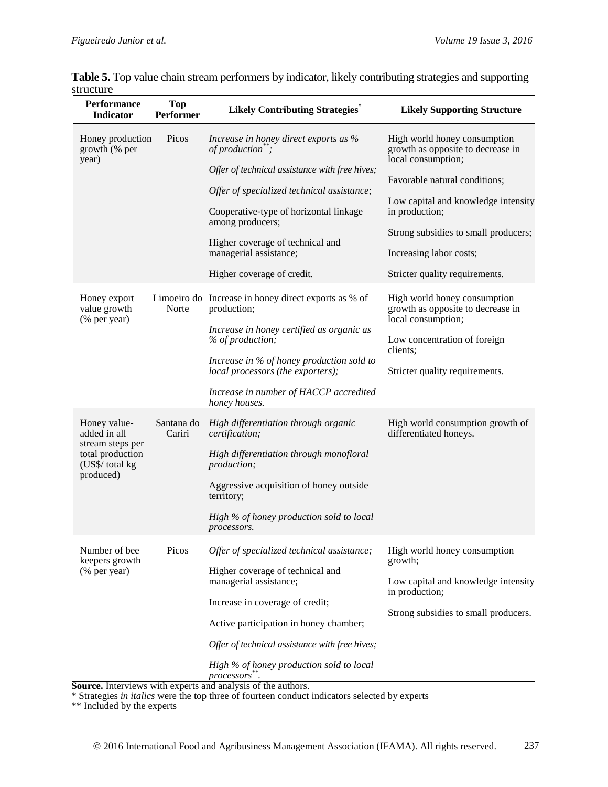| <b>Performance</b><br><b>Indicator</b>           | <b>Top</b><br>Performer | <b>Likely Contributing Strategies</b> *                                        | <b>Likely Supporting Structure</b>                                                      |  |  |  |                                            |                                     |
|--------------------------------------------------|-------------------------|--------------------------------------------------------------------------------|-----------------------------------------------------------------------------------------|--|--|--|--------------------------------------------|-------------------------------------|
| Honey production<br>growth (% per<br>year)       | Picos                   | Increase in honey direct exports as %<br>of production";                       | High world honey consumption<br>growth as opposite to decrease in<br>local consumption; |  |  |  |                                            |                                     |
|                                                  |                         | Offer of technical assistance with free hives;                                 | Favorable natural conditions;                                                           |  |  |  |                                            |                                     |
|                                                  |                         |                                                                                |                                                                                         |  |  |  | Offer of specialized technical assistance; | Low capital and knowledge intensity |
|                                                  |                         | Cooperative-type of horizontal linkage<br>among producers;                     | in production;                                                                          |  |  |  |                                            |                                     |
|                                                  |                         | Higher coverage of technical and                                               | Strong subsidies to small producers;                                                    |  |  |  |                                            |                                     |
|                                                  |                         | managerial assistance;                                                         | Increasing labor costs;                                                                 |  |  |  |                                            |                                     |
|                                                  |                         | Higher coverage of credit.                                                     | Stricter quality requirements.                                                          |  |  |  |                                            |                                     |
| Honey export<br>value growth<br>(% per year)     | Norte                   | Limoeiro do Increase in honey direct exports as % of<br>production;            | High world honey consumption<br>growth as opposite to decrease in<br>local consumption; |  |  |  |                                            |                                     |
|                                                  |                         | Increase in honey certified as organic as<br>% of production;                  | Low concentration of foreign<br>clients;                                                |  |  |  |                                            |                                     |
|                                                  |                         | Increase in % of honey production sold to<br>local processors (the exporters); | Stricter quality requirements.                                                          |  |  |  |                                            |                                     |
|                                                  |                         | Increase in number of HACCP accredited<br>honey houses.                        |                                                                                         |  |  |  |                                            |                                     |
| Honey value-<br>added in all<br>stream steps per | Santana do<br>Cariri    | High differentiation through organic<br>certification;                         | High world consumption growth of<br>differentiated honeys.                              |  |  |  |                                            |                                     |
| total production<br>(US\$/ total kg<br>produced) |                         | High differentiation through monofloral<br>production;                         |                                                                                         |  |  |  |                                            |                                     |
|                                                  |                         | Aggressive acquisition of honey outside<br>territory;                          |                                                                                         |  |  |  |                                            |                                     |
|                                                  |                         | High % of honey production sold to local<br>processors.                        |                                                                                         |  |  |  |                                            |                                     |
| Number of bee<br>keepers growth                  | Picos                   | Offer of specialized technical assistance;                                     | High world honey consumption<br>growth;                                                 |  |  |  |                                            |                                     |
| (% per year)                                     |                         | Higher coverage of technical and<br>managerial assistance;                     | Low capital and knowledge intensity<br>in production;                                   |  |  |  |                                            |                                     |
|                                                  |                         | Increase in coverage of credit;                                                | Strong subsidies to small producers.                                                    |  |  |  |                                            |                                     |
|                                                  |                         | Active participation in honey chamber;                                         |                                                                                         |  |  |  |                                            |                                     |
|                                                  |                         | Offer of technical assistance with free hives;                                 |                                                                                         |  |  |  |                                            |                                     |
|                                                  |                         | High % of honey production sold to local<br>processors.                        |                                                                                         |  |  |  |                                            |                                     |
|                                                  |                         | Source. Interviews with experts and analysis of the authors.                   |                                                                                         |  |  |  |                                            |                                     |

**Table 5.** Top value chain stream performers by indicator, likely contributing strategies and supporting structure

\* Strategies *in italics* were the top three of fourteen conduct indicators selected by experts

\*\* Included by the experts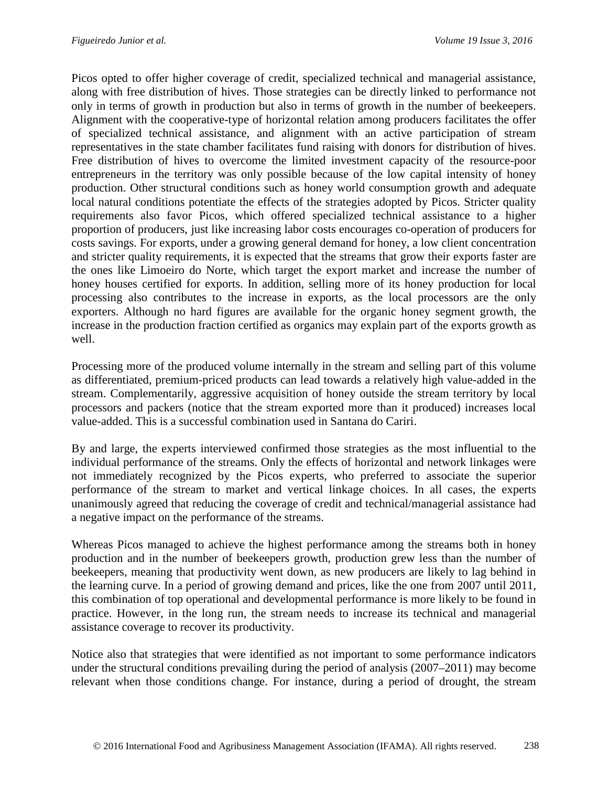Picos opted to offer higher coverage of credit, specialized technical and managerial assistance, along with free distribution of hives. Those strategies can be directly linked to performance not only in terms of growth in production but also in terms of growth in the number of beekeepers. Alignment with the cooperative-type of horizontal relation among producers facilitates the offer of specialized technical assistance, and alignment with an active participation of stream representatives in the state chamber facilitates fund raising with donors for distribution of hives. Free distribution of hives to overcome the limited investment capacity of the resource-poor entrepreneurs in the territory was only possible because of the low capital intensity of honey production. Other structural conditions such as honey world consumption growth and adequate local natural conditions potentiate the effects of the strategies adopted by Picos. Stricter quality requirements also favor Picos, which offered specialized technical assistance to a higher proportion of producers, just like increasing labor costs encourages co-operation of producers for costs savings. For exports, under a growing general demand for honey, a low client concentration and stricter quality requirements, it is expected that the streams that grow their exports faster are the ones like Limoeiro do Norte, which target the export market and increase the number of honey houses certified for exports. In addition, selling more of its honey production for local processing also contributes to the increase in exports, as the local processors are the only exporters. Although no hard figures are available for the organic honey segment growth, the increase in the production fraction certified as organics may explain part of the exports growth as well.

Processing more of the produced volume internally in the stream and selling part of this volume as differentiated, premium-priced products can lead towards a relatively high value-added in the stream. Complementarily, aggressive acquisition of honey outside the stream territory by local processors and packers (notice that the stream exported more than it produced) increases local value-added. This is a successful combination used in Santana do Cariri.

By and large, the experts interviewed confirmed those strategies as the most influential to the individual performance of the streams. Only the effects of horizontal and network linkages were not immediately recognized by the Picos experts, who preferred to associate the superior performance of the stream to market and vertical linkage choices. In all cases, the experts unanimously agreed that reducing the coverage of credit and technical/managerial assistance had a negative impact on the performance of the streams.

Whereas Picos managed to achieve the highest performance among the streams both in honey production and in the number of beekeepers growth, production grew less than the number of beekeepers, meaning that productivity went down, as new producers are likely to lag behind in the learning curve. In a period of growing demand and prices, like the one from 2007 until 2011, this combination of top operational and developmental performance is more likely to be found in practice. However, in the long run, the stream needs to increase its technical and managerial assistance coverage to recover its productivity.

Notice also that strategies that were identified as not important to some performance indicators under the structural conditions prevailing during the period of analysis (2007–2011) may become relevant when those conditions change. For instance, during a period of drought, the stream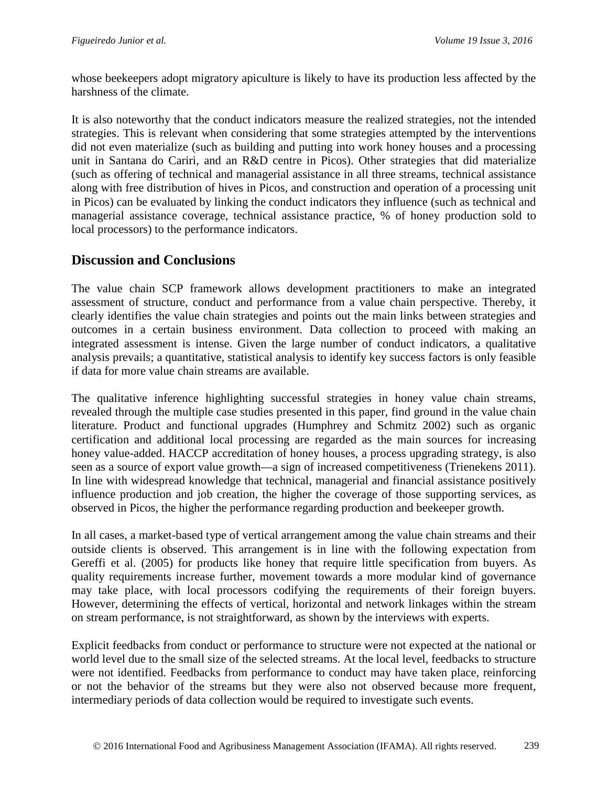whose beekeepers adopt migratory apiculture is likely to have its production less affected by the harshness of the climate.

It is also noteworthy that the conduct indicators measure the realized strategies, not the intended strategies. This is relevant when considering that some strategies attempted by the interventions did not even materialize (such as building and putting into work honey houses and a processing unit in Santana do Cariri, and an R&D centre in Picos). Other strategies that did materialize (such as offering of technical and managerial assistance in all three streams, technical assistance along with free distribution of hives in Picos, and construction and operation of a processing unit in Picos) can be evaluated by linking the conduct indicators they influence (such as technical and managerial assistance coverage, technical assistance practice, % of honey production sold to local processors) to the performance indicators.

# **Discussion and Conclusions**

The value chain SCP framework allows development practitioners to make an integrated assessment of structure, conduct and performance from a value chain perspective. Thereby, it clearly identifies the value chain strategies and points out the main links between strategies and outcomes in a certain business environment. Data collection to proceed with making an integrated assessment is intense. Given the large number of conduct indicators, a qualitative analysis prevails; a quantitative, statistical analysis to identify key success factors is only feasible if data for more value chain streams are available.

The qualitative inference highlighting successful strategies in honey value chain streams, revealed through the multiple case studies presented in this paper, find ground in the value chain literature. Product and functional upgrades (Humphrey and Schmitz 2002) such as organic certification and additional local processing are regarded as the main sources for increasing honey value-added. HACCP accreditation of honey houses, a process upgrading strategy, is also seen as a source of export value growth—a sign of increased competitiveness (Trienekens 2011). In line with widespread knowledge that technical, managerial and financial assistance positively influence production and job creation, the higher the coverage of those supporting services, as observed in Picos, the higher the performance regarding production and beekeeper growth.

In all cases, a market-based type of vertical arrangement among the value chain streams and their outside clients is observed. This arrangement is in line with the following expectation from Gereffi et al. (2005) for products like honey that require little specification from buyers. As quality requirements increase further, movement towards a more modular kind of governance may take place, with local processors codifying the requirements of their foreign buyers. However, determining the effects of vertical, horizontal and network linkages within the stream on stream performance, is not straightforward, as shown by the interviews with experts.

Explicit feedbacks from conduct or performance to structure were not expected at the national or world level due to the small size of the selected streams. At the local level, feedbacks to structure were not identified. Feedbacks from performance to conduct may have taken place, reinforcing or not the behavior of the streams but they were also not observed because more frequent, intermediary periods of data collection would be required to investigate such events.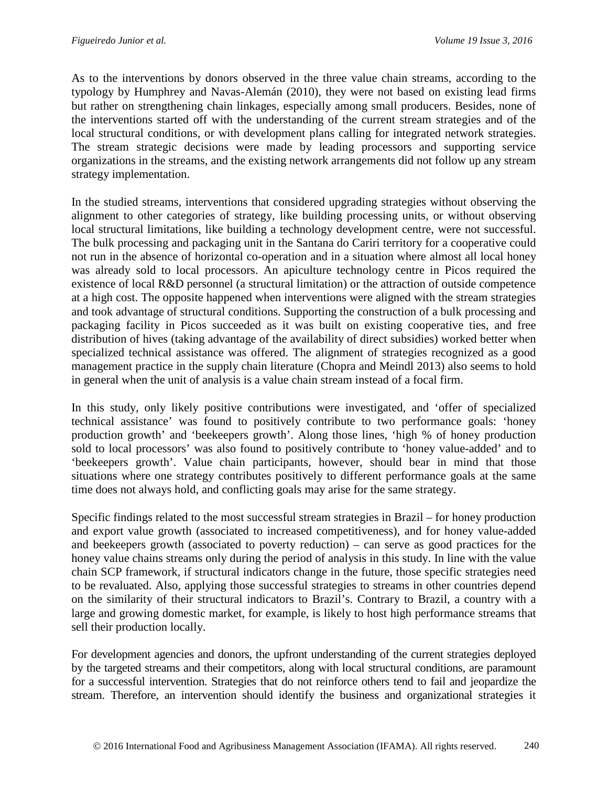As to the interventions by donors observed in the three value chain streams, according to the typology by Humphrey and Navas-Alemán (2010), they were not based on existing lead firms but rather on strengthening chain linkages, especially among small producers. Besides, none of the interventions started off with the understanding of the current stream strategies and of the local structural conditions, or with development plans calling for integrated network strategies. The stream strategic decisions were made by leading processors and supporting service organizations in the streams, and the existing network arrangements did not follow up any stream strategy implementation.

In the studied streams, interventions that considered upgrading strategies without observing the alignment to other categories of strategy, like building processing units, or without observing local structural limitations, like building a technology development centre, were not successful. The bulk processing and packaging unit in the Santana do Cariri territory for a cooperative could not run in the absence of horizontal co-operation and in a situation where almost all local honey was already sold to local processors. An apiculture technology centre in Picos required the existence of local R&D personnel (a structural limitation) or the attraction of outside competence at a high cost. The opposite happened when interventions were aligned with the stream strategies and took advantage of structural conditions. Supporting the construction of a bulk processing and packaging facility in Picos succeeded as it was built on existing cooperative ties, and free distribution of hives (taking advantage of the availability of direct subsidies) worked better when specialized technical assistance was offered. The alignment of strategies recognized as a good management practice in the supply chain literature (Chopra and Meindl 2013) also seems to hold in general when the unit of analysis is a value chain stream instead of a focal firm.

In this study, only likely positive contributions were investigated, and 'offer of specialized technical assistance' was found to positively contribute to two performance goals: 'honey production growth' and 'beekeepers growth'. Along those lines, 'high % of honey production sold to local processors' was also found to positively contribute to 'honey value-added' and to 'beekeepers growth'. Value chain participants, however, should bear in mind that those situations where one strategy contributes positively to different performance goals at the same time does not always hold, and conflicting goals may arise for the same strategy.

Specific findings related to the most successful stream strategies in Brazil – for honey production and export value growth (associated to increased competitiveness), and for honey value-added and beekeepers growth (associated to poverty reduction) – can serve as good practices for the honey value chains streams only during the period of analysis in this study. In line with the value chain SCP framework, if structural indicators change in the future, those specific strategies need to be revaluated. Also, applying those successful strategies to streams in other countries depend on the similarity of their structural indicators to Brazil's. Contrary to Brazil, a country with a large and growing domestic market, for example, is likely to host high performance streams that sell their production locally.

For development agencies and donors, the upfront understanding of the current strategies deployed by the targeted streams and their competitors, along with local structural conditions, are paramount for a successful intervention. Strategies that do not reinforce others tend to fail and jeopardize the stream. Therefore, an intervention should identify the business and organizational strategies it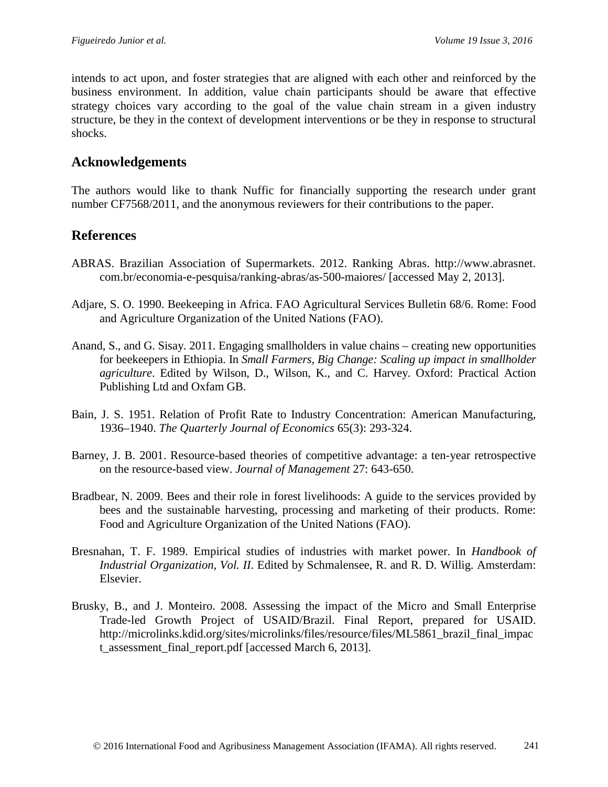intends to act upon, and foster strategies that are aligned with each other and reinforced by the business environment. In addition, value chain participants should be aware that effective strategy choices vary according to the goal of the value chain stream in a given industry structure, be they in the context of development interventions or be they in response to structural shocks.

# **Acknowledgements**

The authors would like to thank Nuffic for financially supporting the research under grant number CF7568/2011, and the anonymous reviewers for their contributions to the paper.

# **References**

- ABRAS. Brazilian Association of Supermarkets. 2012. Ranking Abras. http://www.abrasnet. com.br/economia-e-pesquisa/ranking-abras/as-500-maiores/ [accessed May 2, 2013].
- Adjare, S. O. 1990. Beekeeping in Africa. FAO Agricultural Services Bulletin 68/6. Rome: Food and Agriculture Organization of the United Nations (FAO).
- Anand, S., and G. Sisay. 2011. Engaging smallholders in value chains creating new opportunities for beekeepers in Ethiopia. In *Small Farmers, Big Change: Scaling up impact in smallholder agriculture*. Edited by Wilson, D., Wilson, K., and C. Harvey. Oxford: Practical Action Publishing Ltd and Oxfam GB.
- Bain, J. S. 1951. Relation of Profit Rate to Industry Concentration: American Manufacturing, 1936–1940. *The Quarterly Journal of Economics* 65(3): 293-324.
- Barney, J. B. 2001. Resource-based theories of competitive advantage: a ten-year retrospective on the resource-based view. *Journal of Management* 27: 643-650.
- Bradbear, N. 2009. Bees and their role in forest livelihoods: A guide to the services provided by bees and the sustainable harvesting, processing and marketing of their products. Rome: Food and Agriculture Organization of the United Nations (FAO).
- Bresnahan, T. F. 1989. Empirical studies of industries with market power. In *Handbook of Industrial Organization, Vol. II*. Edited by Schmalensee, R. and R. D. Willig. Amsterdam: Elsevier.
- Brusky, B., and J. Monteiro. 2008. Assessing the impact of the Micro and Small Enterprise Trade-led Growth Project of USAID/Brazil. Final Report, prepared for USAID. [http://microlinks.kdid.org/sites/microlinks/files/resource/files/ML5861\\_brazil\\_final\\_impac](http://microlinks.kdid.org/sites/microlinks/files/resource/files/ML5861_brazil_final_impact_assessment_final_report.pdf) t assessment final report.pdf [accessed March 6, 2013].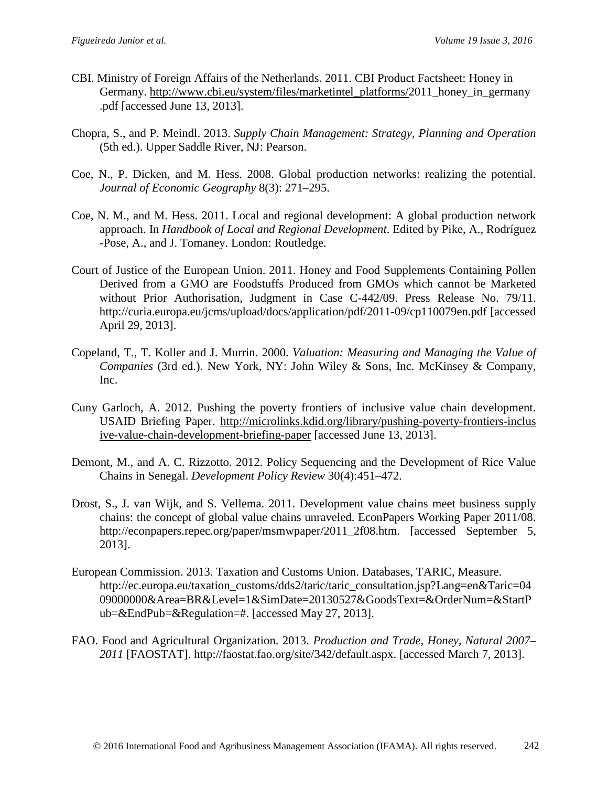- CBI. Ministry of Foreign Affairs of the Netherlands. 2011. CBI Product Factsheet: Honey in Germany. [http://www.cbi.eu/system/files/marketintel\\_platforms/2](http://www.cbi.eu/system/files/marketintel_platforms/)011\_honey\_in\_germany .pdf [accessed June 13, 2013].
- Chopra, S., and P. Meindl. 2013. *Supply Chain Management: Strategy, Planning and Operation*  (5th ed.). Upper Saddle River, NJ: Pearson.
- Coe, N., P. Dicken, and M. Hess. 2008. Global production networks: realizing the potential. *Journal of Economic Geography* 8(3): 271–295.
- Coe, N. M., and M. Hess. 2011. Local and regional development: A global production network approach. In *Handbook of Local and Regional Development*. Edited by Pike, A., Rodríguez -Pose, A., and J. Tomaney. London: Routledge.
- Court of Justice of the European Union. 2011. Honey and Food Supplements Containing Pollen Derived from a GMO are Foodstuffs Produced from GMOs which cannot be Marketed without Prior Authorisation, Judgment in Case C-442/09. Press Release No. 79/11. <http://curia.europa.eu/jcms/upload/docs/application/pdf/2011-09/cp110079en.pdf> [accessed April 29, 2013].
- Copeland, T., T. Koller and J. Murrin. 2000. *Valuation: Measuring and Managing the Value of Companies* (3rd ed.). New York, NY: John Wiley & Sons, Inc. McKinsey & Company, Inc.
- Cuny Garloch, A. 2012. Pushing the poverty frontiers of inclusive value chain development. USAID Briefing Paper. [http://microlinks.kdid.org/library/pushing-poverty-frontiers-inclus](http://microlinks.kdid.org/library/pushing-poverty-frontiers-inclus%20ive-value-chain-development-briefing-paper)  [ive-value-chain-development-briefing-paper](http://microlinks.kdid.org/library/pushing-poverty-frontiers-inclus%20ive-value-chain-development-briefing-paper) [accessed June 13, 2013].
- Demont, M., and A. C. Rizzotto. 2012. Policy Sequencing and the Development of Rice Value Chains in Senegal. *Development Policy Review* 30(4):451–472.
- Drost, S., J. van Wijk, and S. Vellema. 2011. Development value chains meet business supply chains: the concept of global value chains unraveled. EconPapers Working Paper 2011/08. [http://econpapers.repec.org/paper/msmwpaper/2011\\_2f08.htm.](http://econpapers.repec.org/paper/msmwpaper/2011_2f08.htm) [accessed September 5, 2013].
- European Commission. 2013. Taxation and Customs Union. Databases, TARIC, Measure. http://ec.europa.eu/taxation\_customs/dds2/taric/taric\_consultation.jsp?Lang=en&Taric=04 09000000&Area=BR&Level=1&SimDate=20130527&GoodsText=&OrderNum=&StartP ub=&EndPub=&Regulation=#. [accessed May 27, 2013].
- FAO. Food and Agricultural Organization. 2013. *Production and Trade, Honey, Natural 2007– 2011* [FAOSTAT]. [http://faostat.fao.org/site/342/default.aspx.](http://faostat.fao.org/site/342/default.aspx) [accessed March 7, 2013].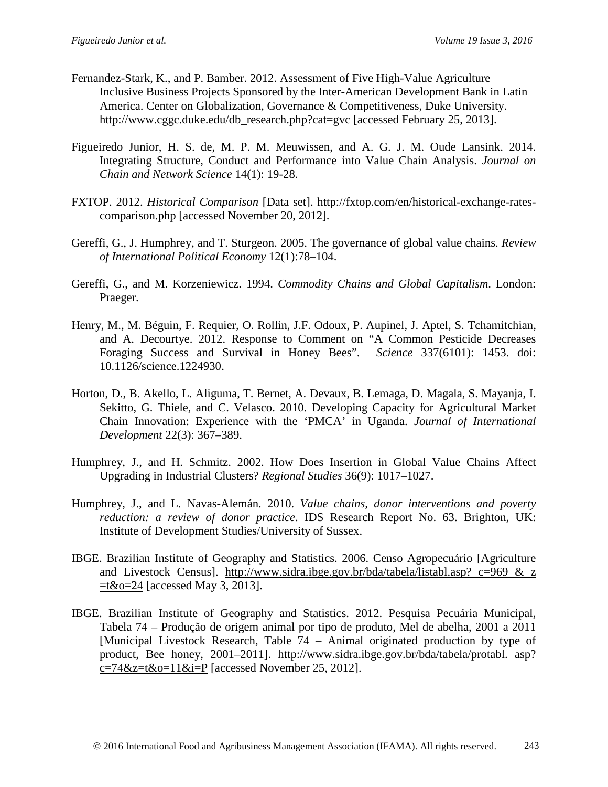- Fernandez-Stark, K., and P. Bamber. 2012. Assessment of Five High-Value Agriculture Inclusive Business Projects Sponsored by the Inter-American Development Bank in Latin America. Center on Globalization, Governance & Competitiveness, Duke University. http://www.cggc.duke.edu/db\_research.php?cat=gvc [accessed February 25, 2013].
- Figueiredo Junior, H. S. de, M. P. M. Meuwissen, and A. G. J. M. Oude Lansink. 2014. Integrating Structure, Conduct and Performance into Value Chain Analysis. *Journal on Chain and Network Science* 14(1): 19-28.
- FXTOP. 2012. *Historical Comparison* [Data set]. [http://fxtop.com/en/historical-exchange-rates](http://fxtop.com/en/historical-exchange-rates-comparison.php)[comparison.php](http://fxtop.com/en/historical-exchange-rates-comparison.php) [accessed November 20, 2012].
- Gereffi, G., J. Humphrey, and T. Sturgeon. 2005. The governance of global value chains. *Review of International Political Economy* 12(1):78–104.
- Gereffi, G., and M. Korzeniewicz. 1994. *Commodity Chains and Global Capitalism*. London: Praeger.
- Henry, [M., M](http://www.sciencemag.org/search?author1=Micka%C3%ABl+Henry&sortspec=date&submit=Submit). [Béguin,](http://www.sciencemag.org/search?author1=Maxime+B%C3%A9guin&sortspec=date&submit=Submit) F. Requier, O. Rollin, J.F. Odoux, P. Aupinel, J. Aptel, S. Tchamitchian, and A. Decourtye. 2012. Response to Comment on "A Common Pesticide Decreases Foraging Success and Survival in Honey Bees". *Science* 337(6101): 1453. doi: 10.1126/science.1224930.
- Horton, D., B. Akello, L. Aliguma, T. Bernet, A. Devaux, B. Lemaga, D. Magala, S. Mayanja, I. Sekitto, G. Thiele, and C. Velasco. 2010. Developing Capacity for Agricultural Market Chain Innovation: Experience with the 'PMCA' in Uganda. *Journal of International Development* 22(3): 367–389.
- Humphrey, J., and H. Schmitz. 2002. How Does Insertion in Global Value Chains Affect Upgrading in Industrial Clusters? *Regional Studies* 36(9): 1017–1027.
- Humphrey, J., and L. Navas-Alemán. 2010. *Value chains, donor interventions and poverty reduction: a review of donor practice*. IDS Research Report No. 63. Brighton, UK: Institute of Development Studies/University of Sussex.
- IBGE. Brazilian Institute of Geography and Statistics. 2006. Censo Agropecuário [Agriculture and Livestock Census]. http://www.sidra.ibge.gov.br/bda/tabela/listabl.asp? c=969 & z  $=t&0=24$  [accessed May 3, 2013].
- IBGE. Brazilian Institute of Geography and Statistics. 2012. Pesquisa Pecuária Municipal, Tabela 74 – Produção de origem animal por tipo de produto, Mel de abelha, 2001 a 2011 [Municipal Livestock Research, Table 74 – Animal originated production by type of product, Bee honey, 2001–2011]. [http://www.sidra.ibge.gov.br/bda/tabela/protabl. asp?](http://www.sidra.ibge.gov.br/bda/tabela/protabl.%20asp?%20c=74&z=t&o=11&i=P)   $c=74&z=t&0=11&i=P$  [accessed November 25, 2012].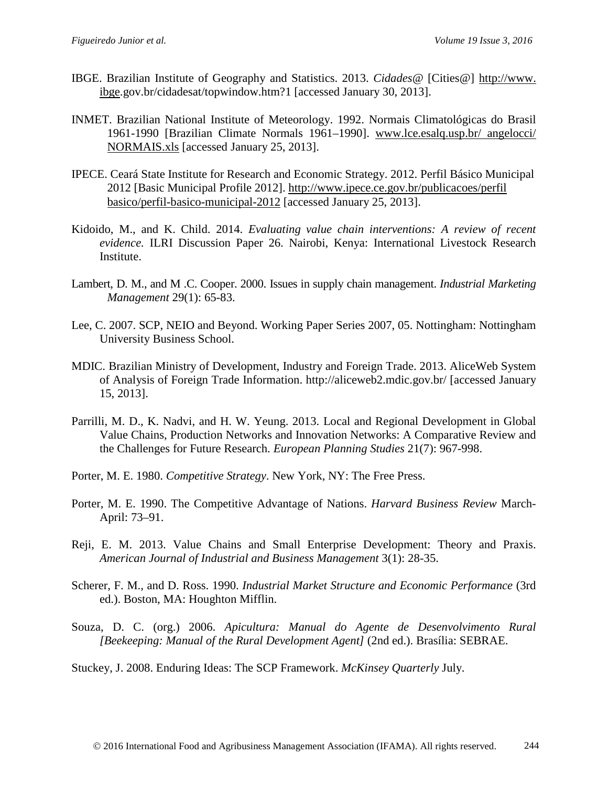- IBGE. Brazilian Institute of Geography and Statistics. 2013. *Cidades@* [Cities@] http://www. ibge.gov.br/cidadesat/topwindow.htm?1 [accessed January 30, 2013].
- INMET. Brazilian National Institute of Meteorology. 1992. Normais Climatológicas do Brasil 1961-1990 [Brazilian Climate Normals 1961–1990]. [www.lce.esalq.usp.br/ angelocci/](http://www.lce.esalq.usp.br/%20angelocci/%20NORMAIS.xls)  [NORMAIS.xls](http://www.lce.esalq.usp.br/%20angelocci/%20NORMAIS.xls) [accessed January 25, 2013].
- IPECE. Ceará State Institute for Research and Economic Strategy. 2012. Perfil Básico Municipal 2012 [Basic Municipal Profile 2012]. [http://www.ipece.ce.gov.br/publicacoes/perfil](http://www.ipece.ce.gov.br/publicacoes/perfil%20basico/perfil-basico-municipal-2012)  [basico/perfil-basico-municipal-2012](http://www.ipece.ce.gov.br/publicacoes/perfil%20basico/perfil-basico-municipal-2012) [accessed January 25, 2013].
- Kidoido, M., and K. Child. 2014. *Evaluating value chain interventions: A review of recent evidence.* ILRI Discussion Paper 26. Nairobi, Kenya: International Livestock Research Institute.
- Lambert, D. M., and M .C. Cooper. 2000. Issues in supply chain management. *Industrial Marketing Management* 29(1): 65-83.
- Lee, C. 2007. SCP, NEIO and Beyond. Working Paper Series 2007, 05. Nottingham: Nottingham University Business School.
- MDIC. Brazilian Ministry of Development, Industry and Foreign Trade. 2013. AliceWeb System of Analysis of Foreign Trade Information. <http://aliceweb2.mdic.gov.br/> [accessed January 15, 2013].
- Parrilli, M. D., K. Nadvi, and H. W. Yeung. 2013. Local and Regional Development in Global Value Chains, Production Networks and Innovation Networks: A Comparative Review and the Challenges for Future Research. *European Planning Studies* 21(7): 967-998.
- Porter, M. E. 1980. *Competitive Strategy*. New York, NY: The Free Press.
- Porter, M. E. 1990. The Competitive Advantage of Nations. *Harvard Business Review* March-April: 73–91.
- Reji, E. M. 2013. Value Chains and Small Enterprise Development: Theory and Praxis. *American Journal of Industrial and Business Management* 3(1): 28-35.
- Scherer, F. M., and D. Ross. 1990. *Industrial Market Structure and Economic Performance* (3rd ed.). Boston, MA: Houghton Mifflin.
- Souza, D. C. (org.) 2006. *Apicultura: Manual do Agente de Desenvolvimento Rural [Beekeeping: Manual of the Rural Development Agent]* (2nd ed.). Brasília: SEBRAE.

Stuckey, J. 2008. Enduring Ideas: The SCP Framework. *McKinsey Quarterly* July.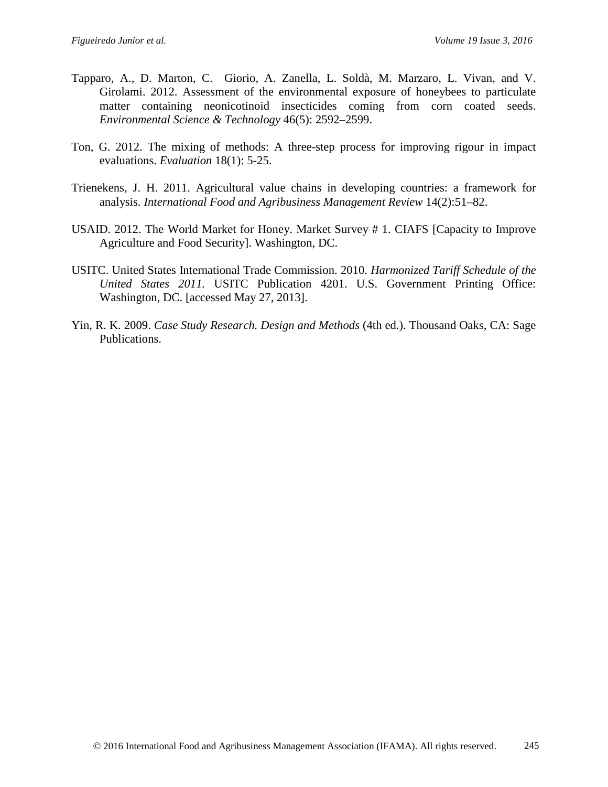- [Tapparo, A.](http://www.ncbi.nlm.nih.gov/pubmed?term=Tapparo%20A%5BAuthor%5D&cauthor=true&cauthor_uid=22292570), D. Marton, C. Giorio, A. [Zanella, L.](http://www.ncbi.nlm.nih.gov/pubmed?term=Zanella%20A%5BAuthor%5D&cauthor=true&cauthor_uid=22292570) [Soldà, M.](http://www.ncbi.nlm.nih.gov/pubmed?term=Sold%C3%A0%20L%5BAuthor%5D&cauthor=true&cauthor_uid=22292570) [Marzaro, L.](http://www.ncbi.nlm.nih.gov/pubmed?term=Marzaro%20M%5BAuthor%5D&cauthor=true&cauthor_uid=22292570) [Vivan,](http://www.ncbi.nlm.nih.gov/pubmed?term=Vivan%20L%5BAuthor%5D&cauthor=true&cauthor_uid=22292570) and V. [Girolami.](http://www.ncbi.nlm.nih.gov/pubmed?term=Girolami%20V%5BAuthor%5D&cauthor=true&cauthor_uid=22292570) 2012. Assessment of the environmental exposure of honeybees to particulate matter containing neonicotinoid insecticides coming from corn coated seeds. *[Environmental Science & Technology](http://www.ncbi.nlm.nih.gov/pubmed/22292570)* 46(5): 2592–2599.
- Ton, G. 2012. The mixing of methods: A three-step process for improving rigour in impact evaluations. *Evaluation* 18(1): 5-25.
- Trienekens, J. H. 2011. Agricultural value chains in developing countries: a framework for analysis. *International Food and Agribusiness Management Review* 14(2):51–82.
- USAID. 2012. The World Market for Honey. Market Survey # 1. CIAFS [Capacity to Improve Agriculture and Food Security]. Washington, DC.
- USITC. United States International Trade Commission. 2010. *Harmonized Tariff Schedule of the United States 2011.* USITC Publication 4201. U.S. Government Printing Office: Washington, DC. [accessed May 27, 2013].
- Yin, R. K. 2009. *Case Study Research. Design and Methods* (4th ed.). Thousand Oaks, CA: Sage Publications.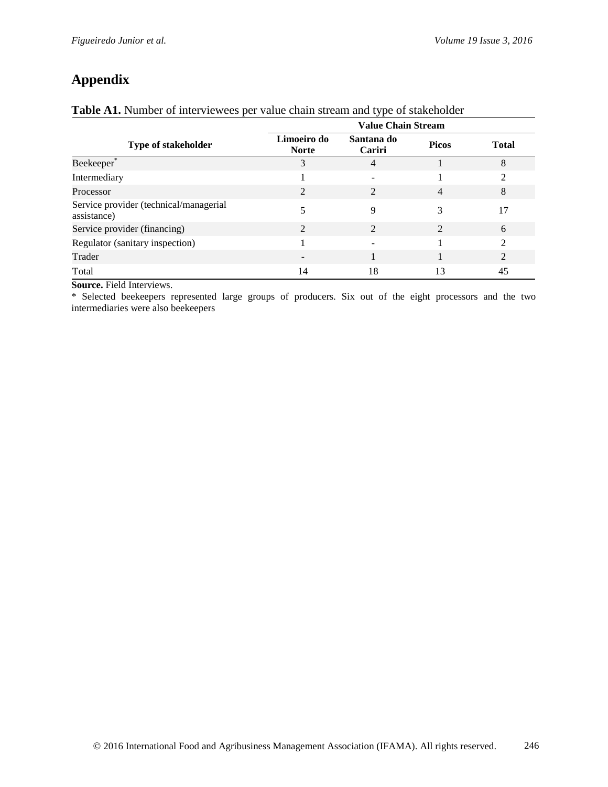# **Appendix**

### **Table A1.** Number of interviewees per value chain stream and type of stakeholder

|                                                       | <b>Value Chain Stream</b>   |                             |                |                |  |  |  |
|-------------------------------------------------------|-----------------------------|-----------------------------|----------------|----------------|--|--|--|
| <b>Type of stakeholder</b>                            | Limoeiro do<br><b>Norte</b> | Santana do<br>Cariri        | <b>Picos</b>   | <b>Total</b>   |  |  |  |
| Beekeeper <sup>®</sup>                                | 3                           | $\overline{4}$              |                | 8              |  |  |  |
| Intermediary                                          |                             |                             |                | $\overline{c}$ |  |  |  |
| Processor                                             | $\mathcal{D}_{\mathcal{L}}$ | $\mathcal{D}_{\mathcal{L}}$ | $\overline{4}$ | 8              |  |  |  |
| Service provider (technical/managerial<br>assistance) |                             | 9                           | 3              | 17             |  |  |  |
| Service provider (financing)                          | $\mathfrak{D}$              | $\mathfrak{D}$              | $\mathfrak{D}$ | 6              |  |  |  |
| Regulator (sanitary inspection)                       |                             |                             |                | $\mathfrak{D}$ |  |  |  |
| Trader                                                |                             |                             |                | $\overline{2}$ |  |  |  |
| Total                                                 | 14                          | 18                          | 13             | 45             |  |  |  |

**Source.** Field Interviews.

\* Selected beekeepers represented large groups of producers. Six out of the eight processors and the two intermediaries were also beekeepers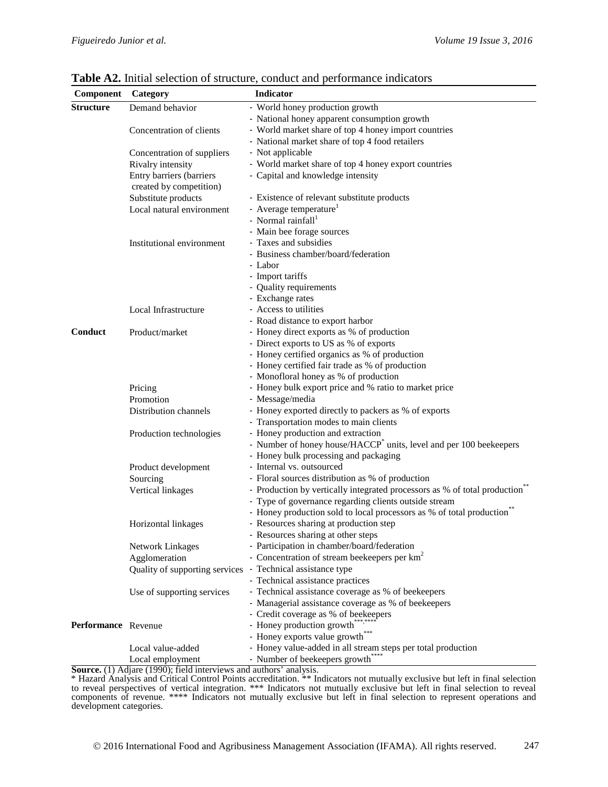| Component           | Category                       | <b>Indicator</b>                                                                  |  |  |  |  |
|---------------------|--------------------------------|-----------------------------------------------------------------------------------|--|--|--|--|
| <b>Structure</b>    | Demand behavior                | - World honey production growth                                                   |  |  |  |  |
|                     |                                | - National honey apparent consumption growth                                      |  |  |  |  |
|                     | Concentration of clients       | - World market share of top 4 honey import countries                              |  |  |  |  |
|                     |                                | - National market share of top 4 food retailers                                   |  |  |  |  |
|                     | Concentration of suppliers     | - Not applicable                                                                  |  |  |  |  |
|                     | Rivalry intensity              | - World market share of top 4 honey export countries                              |  |  |  |  |
|                     | Entry barriers (barriers       | - Capital and knowledge intensity                                                 |  |  |  |  |
|                     | created by competition)        |                                                                                   |  |  |  |  |
|                     | Substitute products            | - Existence of relevant substitute products                                       |  |  |  |  |
|                     | Local natural environment      | - Average temperature <sup>1</sup>                                                |  |  |  |  |
|                     |                                | - Normal rainfall <sup>1</sup>                                                    |  |  |  |  |
|                     |                                | - Main bee forage sources                                                         |  |  |  |  |
|                     | Institutional environment      | - Taxes and subsidies                                                             |  |  |  |  |
|                     |                                | - Business chamber/board/federation                                               |  |  |  |  |
|                     |                                | - Labor                                                                           |  |  |  |  |
|                     |                                | - Import tariffs                                                                  |  |  |  |  |
|                     |                                | - Quality requirements                                                            |  |  |  |  |
|                     |                                | - Exchange rates                                                                  |  |  |  |  |
|                     | Local Infrastructure           | - Access to utilities                                                             |  |  |  |  |
|                     |                                | - Road distance to export harbor                                                  |  |  |  |  |
| Conduct             | Product/market                 | - Honey direct exports as % of production                                         |  |  |  |  |
|                     |                                | - Direct exports to US as % of exports                                            |  |  |  |  |
|                     |                                | - Honey certified organics as % of production                                     |  |  |  |  |
|                     |                                | - Honey certified fair trade as % of production                                   |  |  |  |  |
|                     |                                | - Monofloral honey as % of production                                             |  |  |  |  |
|                     | Pricing                        | - Honey bulk export price and % ratio to market price                             |  |  |  |  |
|                     | Promotion                      | - Message/media                                                                   |  |  |  |  |
|                     | Distribution channels          | - Honey exported directly to packers as % of exports                              |  |  |  |  |
|                     |                                | - Transportation modes to main clients                                            |  |  |  |  |
|                     | Production technologies        | - Honey production and extraction                                                 |  |  |  |  |
|                     |                                | - Number of honey house/HACCP <sup>*</sup> units, level and per 100 beekeepers    |  |  |  |  |
|                     |                                | - Honey bulk processing and packaging                                             |  |  |  |  |
|                     | Product development            | - Internal vs. outsourced                                                         |  |  |  |  |
|                     | Sourcing                       | - Floral sources distribution as % of production                                  |  |  |  |  |
|                     | Vertical linkages              | - Production by vertically integrated processors as % of total production         |  |  |  |  |
|                     |                                | - Type of governance regarding clients outside stream                             |  |  |  |  |
|                     |                                | - Honey production sold to local processors as % of total production <sup>®</sup> |  |  |  |  |
|                     | Horizontal linkages            | - Resources sharing at production step                                            |  |  |  |  |
|                     |                                | - Resources sharing at other steps                                                |  |  |  |  |
|                     | Network Linkages               | - Participation in chamber/board/federation                                       |  |  |  |  |
|                     | Agglomeration                  | - Concentration of stream beekeepers per km <sup>2</sup>                          |  |  |  |  |
|                     | Quality of supporting services | - Technical assistance type                                                       |  |  |  |  |
|                     |                                | - Technical assistance practices                                                  |  |  |  |  |
|                     | Use of supporting services     | - Technical assistance coverage as % of beekeepers                                |  |  |  |  |
|                     |                                | - Managerial assistance coverage as % of beekeepers                               |  |  |  |  |
|                     |                                | - Credit coverage as % of beekeepers                                              |  |  |  |  |
| Performance Revenue |                                | - Honey production growth***,***                                                  |  |  |  |  |
|                     |                                | - Honey exports value growth <sup>*</sup>                                         |  |  |  |  |
|                     | Local value-added              | - Honey value-added in all stream steps per total production                      |  |  |  |  |
|                     | Local employment               | - Number of beekeepers growth****                                                 |  |  |  |  |

**Table A2.** Initial selection of structure, conduct and performance indicators

**Source.** (1) Adjare (1990); field interviews and authors' analysis.

\* Hazard Analysis and Critical Control Points accreditation. \*\* Indicators not mutually exclusive but left in final selection to reveal perspectives of vertical integration. \*\*\* Indicators not mutually exclusive but left in final selection to reveal components of revenue. \*\*\*\* Indicators not mutually exclusive but left in final selection to represent operations and development categories.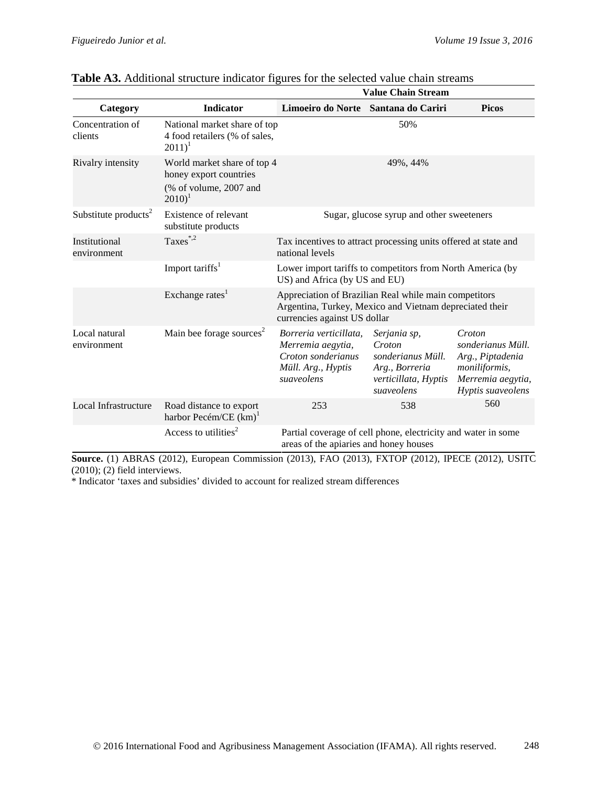|                                  |                                                                                                        | <b>Value Chain Stream</b>                                                                                                                        |                                                                                                     |                                                                                                            |  |  |
|----------------------------------|--------------------------------------------------------------------------------------------------------|--------------------------------------------------------------------------------------------------------------------------------------------------|-----------------------------------------------------------------------------------------------------|------------------------------------------------------------------------------------------------------------|--|--|
| Category                         | <b>Indicator</b>                                                                                       | Limoeiro do Norte Santana do Cariri                                                                                                              |                                                                                                     | <b>Picos</b>                                                                                               |  |  |
| Concentration of<br>clients      | National market share of top<br>4 food retailers (% of sales,<br>$2011)^1$                             |                                                                                                                                                  | 50%                                                                                                 |                                                                                                            |  |  |
| Rivalry intensity                | World market share of top 4<br>honey export countries<br>(% of volume, 2007 and<br>$2010$ <sup>1</sup> |                                                                                                                                                  | 49%, 44%                                                                                            |                                                                                                            |  |  |
| Substitute products <sup>2</sup> | Existence of relevant<br>substitute products                                                           |                                                                                                                                                  | Sugar, glucose syrup and other sweeteners                                                           |                                                                                                            |  |  |
| Institutional<br>environment     | Taxes $^{*,2}$                                                                                         | Tax incentives to attract processing units offered at state and<br>national levels                                                               |                                                                                                     |                                                                                                            |  |  |
|                                  | Import tariffs <sup>1</sup>                                                                            | Lower import tariffs to competitors from North America (by<br>US) and Africa (by US and EU)                                                      |                                                                                                     |                                                                                                            |  |  |
|                                  | Exchange rates <sup>1</sup>                                                                            | Appreciation of Brazilian Real while main competitors<br>Argentina, Turkey, Mexico and Vietnam depreciated their<br>currencies against US dollar |                                                                                                     |                                                                                                            |  |  |
| Local natural<br>environment     | Main bee forage sources <sup>2</sup>                                                                   | Borreria verticillata.<br>Merremia aegytia,<br>Croton sonderianus<br>Müll. Arg., Hyptis<br>suaveolens                                            | Serjania sp,<br>Croton<br>sonderianus Müll.<br>Arg., Borreria<br>verticillata, Hyptis<br>suaveolens | Croton<br>sonderianus Müll.<br>Arg., Piptadenia<br>moniliformis,<br>Merremia aegytia,<br>Hyptis suaveolens |  |  |
| Local Infrastructure             | Road distance to export<br>harbor Pecém/CE $(km)^{1}$                                                  | 253                                                                                                                                              | 538                                                                                                 | 560                                                                                                        |  |  |
|                                  | Access to utilities <sup>2</sup>                                                                       | areas of the apiaries and honey houses                                                                                                           | Partial coverage of cell phone, electricity and water in some                                       |                                                                                                            |  |  |

| Table A3. Additional structure indicator figures for the selected value chain streams |  |  |  |  |
|---------------------------------------------------------------------------------------|--|--|--|--|
|                                                                                       |  |  |  |  |

**Source.** (1) ABRAS (2012), European Commission (2013), FAO (2013), FXTOP (2012), IPECE (2012), USITC (2010); (2) field interviews.

\* Indicator 'taxes and subsidies' divided to account for realized stream differences